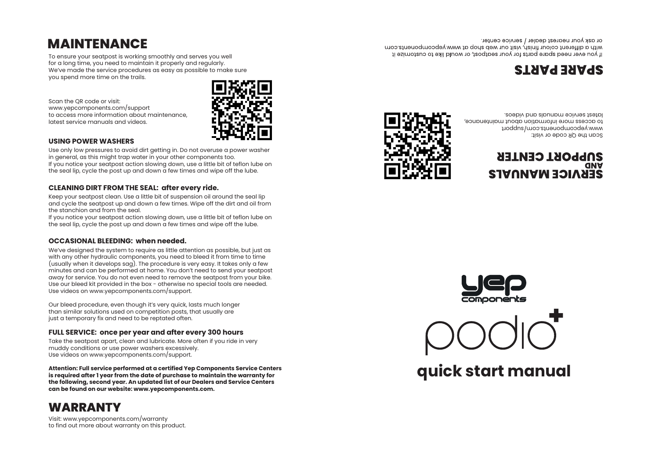# **MAINTENANCE**

To ensure your seatpost is working smoothly and serves you well for a long time, you need to maintain it properly and regularly. We've made the service procedures as easy as possible to make sure you spend more time on the trails.

Scan the QR code or visit: www.yepcomponents.com/support to access more information about maintenance, latest service manuals and videos.



#### **USING POWER WASHERS**

Use only low pressures to avoid dirt getting in. Do not overuse a power washer in general, as this might trap water in your other components too. If you notice your seatpost action slowing down, use a little bit of teflon lube on the seal lip, cycle the post up and down a few times and wipe off the lube.

#### **CLEANING DIRT FROM THE SEAL: after every ride.**

Keep your seatpost clean. Use a little bit of suspension oil around the seal lip and cycle the seatpost up and down a few times. Wipe off the dirt and oil from the stanchion and from the seal.

If you notice your seatpost action slowing down, use a little bit of teflon lube on the seal lip, cycle the post up and down a few times and wipe off the lube.

#### **OCCASIONAL BLEEDING: when needed.**

We've designed the system to require as little attention as possible, but just as with any other hydraulic components, you need to bleed it from time to time (usually when it develops sag). The procedure is very easy. It takes only a few minutes and can be performed at home. You don't need to send your seatpost away for service. You do not even need to remove the seatpost from your bike. Use our bleed kit provided in the box - otherwise no special tools are needed. Use videos on www.yepcomponents.com/support.

Our bleed procedure, even though it's very quick, lasts much longer than similar solutions used on competition posts, that usually are just a temporary fix and need to be reptated often.

#### **FULL SERVICE: once per year and after every 300 hours**

Take the seatpost apart, clean and lubricate. More often if you ride in very muddy conditions or use power washers excessively. Use videos on www.yepcomponents.com/support.

**Attention: Full service performed at a certified Yep Components Service Centers is required after 1 year from the date of purchase to maintain the warranty for the following, second year. An updated list of our Dealers and Service Centers can be found on our website: www.yepcomponents.com.**

# **WARRANTY**

Visit: www.yepcomponents.com/warranty to find out more about warranty on this product.



### **SUPPORT CENTER GNV SEKAICE WYNOWLS**

www.yebcomponents.com/support

latest service manuals and videos.

to access more information about maintenance,





**quick start manual**

# **STAARE PARTS**

Scan the QR code or visit:

or ask your nearest dealer / service center. with a different colour finish, visit our web shop at www.yepcomponents.com Il Von evei, need spare barts tot your searbost, or would like to customize it